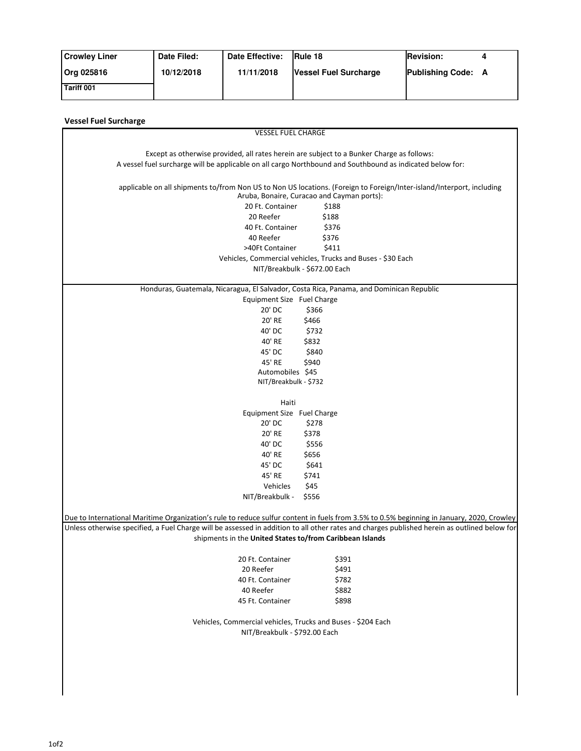| <b>Crowley Liner</b> | Date Filed: | Date Effective: | <b>Rule 18</b>               | <b>Revision:</b>   |  |
|----------------------|-------------|-----------------|------------------------------|--------------------|--|
| Org 025816           | 10/12/2018  | 11/11/2018      | <b>Vessel Fuel Surcharge</b> | Publishing Code: A |  |
| Tariff 001           |             |                 |                              |                    |  |

| <b>Vessel Fuel Surcharge</b>                                                                                                                 |                                                                                                                                                                     |  |  |  |  |
|----------------------------------------------------------------------------------------------------------------------------------------------|---------------------------------------------------------------------------------------------------------------------------------------------------------------------|--|--|--|--|
| <b>VESSEL FUEL CHARGE</b>                                                                                                                    |                                                                                                                                                                     |  |  |  |  |
|                                                                                                                                              |                                                                                                                                                                     |  |  |  |  |
| Except as otherwise provided, all rates herein are subject to a Bunker Charge as follows:                                                    |                                                                                                                                                                     |  |  |  |  |
| A vessel fuel surcharge will be applicable on all cargo Northbound and Southbound as indicated below for:                                    |                                                                                                                                                                     |  |  |  |  |
|                                                                                                                                              | applicable on all shipments to/from Non US to Non US locations. (Foreign to Foreign/Inter-island/Interport, including<br>Aruba, Bonaire, Curacao and Cayman ports): |  |  |  |  |
| 20 Ft. Container                                                                                                                             | \$188                                                                                                                                                               |  |  |  |  |
| 20 Reefer                                                                                                                                    | \$188                                                                                                                                                               |  |  |  |  |
| 40 Ft. Container                                                                                                                             | \$376                                                                                                                                                               |  |  |  |  |
| 40 Reefer                                                                                                                                    | \$376                                                                                                                                                               |  |  |  |  |
| >40Ft Container                                                                                                                              | \$411                                                                                                                                                               |  |  |  |  |
|                                                                                                                                              | Vehicles, Commercial vehicles, Trucks and Buses - \$30 Each                                                                                                         |  |  |  |  |
| NIT/Breakbulk - \$672.00 Each                                                                                                                |                                                                                                                                                                     |  |  |  |  |
| Honduras, Guatemala, Nicaragua, El Salvador, Costa Rica, Panama, and Dominican Republic                                                      |                                                                                                                                                                     |  |  |  |  |
| Equipment Size Fuel Charge                                                                                                                   |                                                                                                                                                                     |  |  |  |  |
| 20' DC                                                                                                                                       | \$366                                                                                                                                                               |  |  |  |  |
| 20' RE                                                                                                                                       | \$466                                                                                                                                                               |  |  |  |  |
| 40' DC                                                                                                                                       | \$732                                                                                                                                                               |  |  |  |  |
| 40' RE                                                                                                                                       | \$832                                                                                                                                                               |  |  |  |  |
| 45' DC                                                                                                                                       | \$840                                                                                                                                                               |  |  |  |  |
| 45' RE                                                                                                                                       | \$940                                                                                                                                                               |  |  |  |  |
| Automobiles \$45                                                                                                                             |                                                                                                                                                                     |  |  |  |  |
| NIT/Breakbulk - \$732                                                                                                                        |                                                                                                                                                                     |  |  |  |  |
|                                                                                                                                              |                                                                                                                                                                     |  |  |  |  |
| Haiti<br>Equipment Size Fuel Charge                                                                                                          |                                                                                                                                                                     |  |  |  |  |
| 20' DC                                                                                                                                       | \$278                                                                                                                                                               |  |  |  |  |
| 20' RE                                                                                                                                       | \$378                                                                                                                                                               |  |  |  |  |
| 40' DC                                                                                                                                       | \$556                                                                                                                                                               |  |  |  |  |
| 40' RE                                                                                                                                       | \$656                                                                                                                                                               |  |  |  |  |
| 45' DC                                                                                                                                       | \$641                                                                                                                                                               |  |  |  |  |
| 45' RE                                                                                                                                       | \$741                                                                                                                                                               |  |  |  |  |
| Vehicles                                                                                                                                     | \$45                                                                                                                                                                |  |  |  |  |
| NIT/Breakbulk -                                                                                                                              | \$556                                                                                                                                                               |  |  |  |  |
|                                                                                                                                              |                                                                                                                                                                     |  |  |  |  |
| Due to International Maritime Organization's rule to reduce sulfur content in fuels from 3.5% to 0.5% beginning in January, 2020, Crowley    |                                                                                                                                                                     |  |  |  |  |
| Unless otherwise specified, a Fuel Charge will be assessed in addition to all other rates and charges published herein as outlined below for |                                                                                                                                                                     |  |  |  |  |
| shipments in the United States to/from Caribbean Islands                                                                                     |                                                                                                                                                                     |  |  |  |  |
| 20 Ft. Container                                                                                                                             | \$391                                                                                                                                                               |  |  |  |  |
| 20 Reefer                                                                                                                                    | \$491                                                                                                                                                               |  |  |  |  |
| 40 Ft. Container                                                                                                                             | \$782                                                                                                                                                               |  |  |  |  |
| 40 Reefer                                                                                                                                    | \$882                                                                                                                                                               |  |  |  |  |
| 45 Ft. Container                                                                                                                             | \$898                                                                                                                                                               |  |  |  |  |
|                                                                                                                                              |                                                                                                                                                                     |  |  |  |  |
| Vehicles, Commercial vehicles, Trucks and Buses - \$204 Each                                                                                 |                                                                                                                                                                     |  |  |  |  |
| NIT/Breakbulk - \$792.00 Each                                                                                                                |                                                                                                                                                                     |  |  |  |  |
|                                                                                                                                              |                                                                                                                                                                     |  |  |  |  |
|                                                                                                                                              |                                                                                                                                                                     |  |  |  |  |
|                                                                                                                                              |                                                                                                                                                                     |  |  |  |  |
|                                                                                                                                              |                                                                                                                                                                     |  |  |  |  |
|                                                                                                                                              |                                                                                                                                                                     |  |  |  |  |